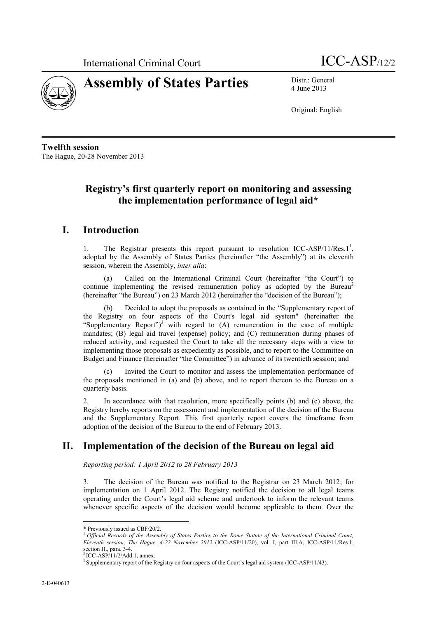

4 June 2013

Original: English

**Twelfth session** The Hague, 20-28 November 2013

# **Registry's first quarterly report on monitoring and assessing the implementation performance of legal aid\***

## **I. Introduction**

1. The Registrar presents this report pursuant to resolution ICC-ASP/11/Res.1<sup>1</sup>, adopted by the Assembly of States Parties (hereinafter "the Assembly") at its eleventh session, wherein the Assembly, *inter alia*:

Called on the International Criminal Court (hereinafter "the Court") to continue implementing the revised remuneration policy as adopted by the Bureau<sup>2</sup> (hereinafter "the Bureau") on 23 March 2012 (hereinafter the "decision of the Bureau");

(b) Decided to adopt the proposals as contained in the "Supplementary report of the Registry on four aspects of the Court's legal aid system" (hereinafter the "Supplementary Report")<sup>3</sup> with regard to  $(A)$  remuneration in the case of multiple mandates; (B) legal aid travel (expense) policy; and (C) remuneration during phases of reduced activity, and requested the Court to take all the necessary steps with a view to implementing those proposals as expediently as possible, and to report to the Committee on Budget and Finance (hereinafter "the Committee") in advance of its twentieth session; and

(c) Invited the Court to monitor and assess the implementation performance of the proposals mentioned in (a) and (b) above, and to report thereon to the Bureau on a quarterly basis.

2. In accordance with that resolution, more specifically points (b) and (c) above, the Registry hereby reports on the assessment and implementation of the decision of the Bureau and the Supplementary Report. This first quarterly report covers the timeframe from adoption of the decision of the Bureau to the end of February 2013.

# **II. Implementation of the decision of the Bureau on legal aid**

*Reporting period: 1 April 2012 to 28 February 2013*

3. The decision of the Bureau was notified to the Registrar on 23 March 2012; for implementation on 1 April 2012. The Registry notified the decision to all legal teams operating under the Court's legal aid scheme and undertook to inform the relevant teams whenever specific aspects of the decision would become applicable to them. Over the

 $\overline{a}$ \* Previously issued as CBF/20/2.

<sup>1</sup>*Official Records of the Assembly of States Parties to the Rome Statute of the International Criminal Court, Eleventh session, The Hague, 4-22 November 2012* (ICC-ASP/11/20), vol. I, part III.A, ICC-ASP/11/Res.1, section H., para.  $3-4$ .

<sup>2</sup>ICC-ASP/11/2/Add.1, annex.

<sup>&</sup>lt;sup>3</sup> Supplementary report of the Registry on four aspects of the Court's legal aid system (ICC-ASP/11/43).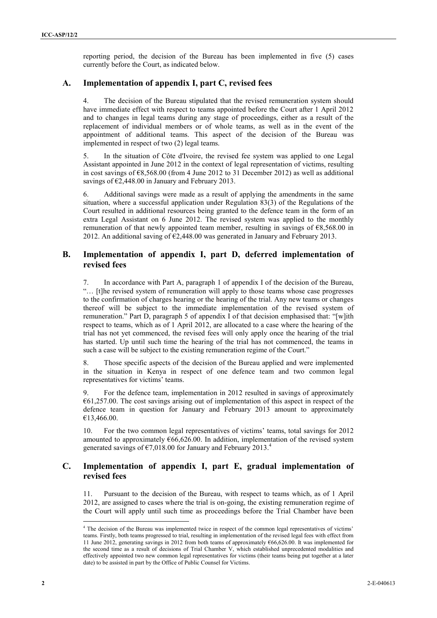reporting period, the decision of the Bureau has been implemented in five (5) cases currently before the Court, as indicated below.

#### **A. Implementation of appendix I, part C, revised fees**

4. The decision of the Bureau stipulated that the revised remuneration system should have immediate effect with respect to teams appointed before the Court after 1 April 2012 and to changes in legal teams during any stage of proceedings, either as a result of the replacement of individual members or of whole teams, as well as in the event of the appointment of additional teams. This aspect of the decision of the Bureau was implemented in respect of two (2) legal teams.

5. In the situation of Côte d'Ivoire, the revised fee system was applied to one Legal Assistant appointed in June 2012 in the context of legal representation of victims, resulting in cost savings of  $\epsilon$ 8,568.00 (from 4 June 2012 to 31 December 2012) as well as additional savings of  $\epsilon$ 2,448.00 in January and February 2013.

6. Additional savings were made as a result of applying the amendments in the same situation, where a successful application under Regulation 83(3) of the Regulations of the Court resulted in additional resources being granted to the defence team in the form of an extra Legal Assistant on 6 June 2012. The revised system was applied to the monthly remuneration of that newly appointed team member, resulting in savings of  $\epsilon$ 8,568.00 in 2012. An additional saving of €2,448.00 was generated in January and February 2013.

#### **B. Implementation of appendix I, part D, deferred implementation of revised fees**

7. In accordance with Part A, paragraph 1 of appendix I of the decision of the Bureau, "… [t]he revised system of remuneration will apply to those teams whose case progresses to the confirmation of charges hearing or the hearing of the trial. Any new teams or changes thereof will be subject to the immediate implementation of the revised system of remuneration." Part D, paragraph 5 of appendix I of that decision emphasised that: "[w]ith respect to teams, which as of 1 April 2012, are allocated to a case where the hearing of the trial has not yet commenced, the revised fees will only apply once the hearing of the trial has started. Up until such time the hearing of the trial has not commenced, the teams in such a case will be subject to the existing remuneration regime of the Court."

8. Those specific aspects of the decision of the Bureau applied and were implemented in the situation in Kenya in respect of one defence team and two common legal representatives for victims' teams.

9. For the defence team, implementation in 2012 resulted in savings of approximately  $661,257.00$ . The cost savings arising out of implementation of this aspect in respect of the defence team in question for January and February 2013 amount to approximately €13,466.00.

10. For the two common legal representatives of victims' teams, total savings for 2012 amounted to approximately  $\epsilon$ 66,626.00. In addition, implementation of the revised system generated savings of  $\epsilon$ 7,018.00 for January and February 2013.<sup>4</sup>

### **C. Implementation of appendix I, part E, gradual implementation of revised fees**

Pursuant to the decision of the Bureau, with respect to teams which, as of 1 April 2012, are assigned to cases where the trial is on-going, the existing remuneration regime of the Court will apply until such time as proceedings before the Trial Chamber have been

 $\overline{a}$ 

<sup>&</sup>lt;sup>4</sup> The decision of the Bureau was implemented twice in respect of the common legal representatives of victims' teams. Firstly, both teams progressed to trial, resulting in implementation of the revised legal fees with effect from 11 June 2012, generating savings in 2012 from both teams of approximately €66,626.00. It was implemented for the second time as a result of decisions of Trial Chamber V, which established unprecedented modalities and effectively appointed two new common legal representatives for victims (their teams being put together at a later date) to be assisted in part by the Office of Public Counsel for Victims.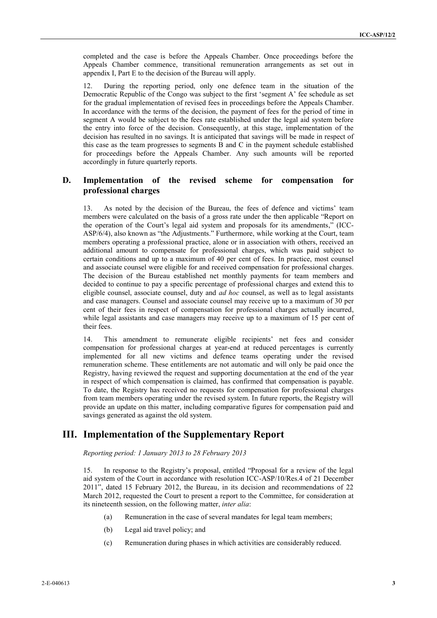completed and the case is before the Appeals Chamber. Once proceedings before the Appeals Chamber commence, transitional remuneration arrangements as set out in appendix I, Part E to the decision of the Bureau will apply.

12. During the reporting period, only one defence team in the situation of the Democratic Republic of the Congo was subject to the first 'segment A' fee schedule as set for the gradual implementation of revised fees in proceedings before the Appeals Chamber. In accordance with the terms of the decision, the payment of fees for the period of time in segment A would be subject to the fees rate established under the legal aid system before the entry into force of the decision. Consequently, at this stage, implementation of the decision has resulted in no savings. It is anticipated that savings will be made in respect of this case as the team progresses to segments B and C in the payment schedule established for proceedings before the Appeals Chamber. Any such amounts will be reported accordingly in future quarterly reports.

### **D. Implementation of the revised scheme for compensation for professional charges**

13. As noted by the decision of the Bureau, the fees of defence and victims' team members were calculated on the basis of a gross rate under the then applicable "Report on the operation of the Court's legal aid system and proposals for its amendments," (ICC-ASP/6/4), also known as "the Adjustments." Furthermore, while working at the Court, team members operating a professional practice, alone or in association with others, received an additional amount to compensate for professional charges, which was paid subject to certain conditions and up to a maximum of 40 per cent of fees. In practice, most counsel and associate counsel were eligible for and received compensation for professional charges. The decision of the Bureau established net monthly payments for team members and decided to continue to pay a specific percentage of professional charges and extend this to eligible counsel, associate counsel, duty and *ad hoc* counsel, as well as to legal assistants and case managers. Counsel and associate counsel may receive up to a maximum of 30 per cent of their fees in respect of compensation for professional charges actually incurred, while legal assistants and case managers may receive up to a maximum of 15 per cent of their fees.

14. This amendment to remunerate eligible recipients' net fees and consider compensation for professional charges at year-end at reduced percentages is currently implemented for all new victims and defence teams operating under the revised remuneration scheme. These entitlements are not automatic and will only be paid once the Registry, having reviewed the request and supporting documentation at the end of the year in respect of which compensation is claimed, has confirmed that compensation is payable. To date, the Registry has received no requests for compensation for professional charges from team members operating under the revised system. In future reports, the Registry will provide an update on this matter, including comparative figures for compensation paid and savings generated as against the old system.

# **III. Implementation of the Supplementary Report**

*Reporting period: 1 January 2013 to 28 February 2013*

15. In response to the Registry's proposal, entitled "Proposal for a review of the legal aid system of the Court in accordance with resolution ICC-ASP/10/Res.4 of 21 December 2011", dated 15 February 2012, the Bureau, in its decision and recommendations of 22 March 2012, requested the Court to present a report to the Committee, for consideration at its nineteenth session, on the following matter, *inter alia*:

- (a) Remuneration in the case of several mandates for legal team members;
- (b) Legal aid travel policy; and
- (c) Remuneration during phases in which activities are considerably reduced.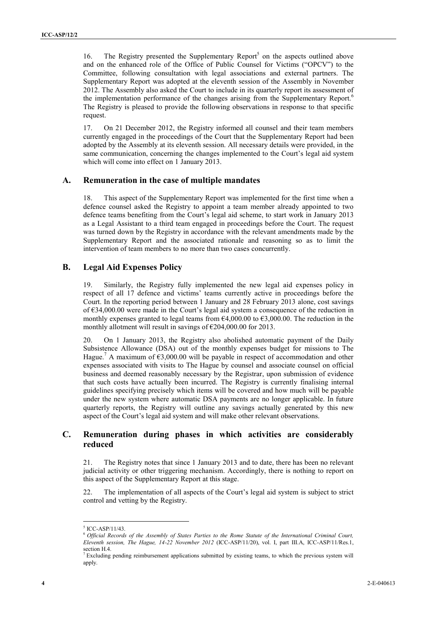16. The Registry presented the Supplementary Report<sup>5</sup> on the aspects outlined above and on the enhanced role of the Office of Public Counsel for Victims ("OPCV") to the Committee, following consultation with legal associations and external partners. The Supplementary Report was adopted at the eleventh session of the Assembly in November 2012. The Assembly also asked the Court to include in its quarterly report its assessment of the implementation performance of the changes arising from the Supplementary Report.<sup>6</sup> The Registry is pleased to provide the following observations in response to that specific request.

17. On 21 December 2012, the Registry informed all counsel and their team members currently engaged in the proceedings of the Court that the Supplementary Report had been adopted by the Assembly at its eleventh session. All necessary details were provided, in the same communication, concerning the changes implemented to the Court's legal aid system which will come into effect on 1 January 2013.

#### **A. Remuneration in the case of multiple mandates**

18. This aspect of the Supplementary Report was implemented for the first time when a defence counsel asked the Registry to appoint a team member already appointed to two defence teams benefiting from the Court's legal aid scheme, to start work in January 2013 as a Legal Assistant to a third team engaged in proceedings before the Court. The request was turned down by the Registry in accordance with the relevant amendments made by the Supplementary Report and the associated rationale and reasoning so as to limit the intervention of team members to no more than two cases concurrently.

#### **B. Legal Aid Expenses Policy**

19. Similarly, the Registry fully implemented the new legal aid expenses policy in respect of all 17 defence and victims' teams currently active in proceedings before the Court. In the reporting period between 1 January and 28 February 2013 alone, cost savings of €34,000.00 were made in the Court's legal aid system a consequence of the reduction in monthly expenses granted to legal teams from  $\epsilon$ 4,000.00 to  $\epsilon$ 3,000.00. The reduction in the monthly allotment will result in savings of  $\epsilon$ 204,000.00 for 2013.

20. On 1 January 2013, the Registry also abolished automatic payment of the Daily Subsistence Allowance (DSA) out of the monthly expenses budget for missions to The Hague.<sup>7</sup> A maximum of  $\epsilon$ 3,000.00 will be payable in respect of accommodation and other expenses associated with visits to The Hague by counsel and associate counsel on official business and deemed reasonably necessary by the Registrar, upon submission of evidence that such costs have actually been incurred. The Registry is currently finalising internal guidelines specifying precisely which items will be covered and how much will be payable under the new system where automatic DSA payments are no longer applicable. In future quarterly reports, the Registry will outline any savings actually generated by this new aspect of the Court's legal aid system and will make other relevant observations.

### **C. Remuneration during phases in which activities are considerably reduced**

21. The Registry notes that since 1 January 2013 and to date, there has been no relevant judicial activity or other triggering mechanism. Accordingly, there is nothing to report on this aspect of the Supplementary Report at this stage.

22. The implementation of all aspects of the Court's legal aid system is subject to strict control and vetting by the Registry.

 $\overline{a}$ 

<sup>5</sup> ICC-ASP/11/43.

<sup>6</sup>*Official Records of the Assembly of States Parties to the Rome Statute of the International Criminal Court, Eleventh session, The Hague, 14-22 November 2012* (ICC-ASP/11/20), vol. I, part III.A, ICC-ASP/11/Res.1, section H.4.

<sup>7</sup> Excluding pending reimbursement applications submitted by existing teams, to which the previous system will apply.